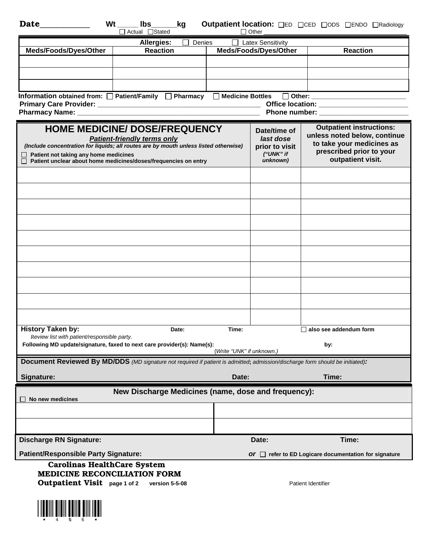| <b>Date</b><br>Wt<br>$\mathsf{lbs} \_\_\_\$ kg<br>Outpatient location: OED OCED ODS OENDO ORadiology<br>□ Actual □ Stated<br>$\Box$ Other                |                                      |         |                                        |                                                                 |
|----------------------------------------------------------------------------------------------------------------------------------------------------------|--------------------------------------|---------|----------------------------------------|-----------------------------------------------------------------|
|                                                                                                                                                          | Allergies:<br>Denies                 | $\perp$ | <b>Latex Sensitivity</b>               |                                                                 |
| Meds/Foods/Dyes/Other                                                                                                                                    | <b>Reaction</b>                      |         | Meds/Foods/Dyes/Other                  | <b>Reaction</b>                                                 |
|                                                                                                                                                          |                                      |         |                                        |                                                                 |
|                                                                                                                                                          |                                      |         |                                        |                                                                 |
|                                                                                                                                                          |                                      |         |                                        |                                                                 |
|                                                                                                                                                          |                                      |         |                                        |                                                                 |
| Information obtained from: □ Patient/Family □ Pharmacy □ Medicine Bottles □ Other: _________________<br>Office location: _________________________       |                                      |         |                                        |                                                                 |
|                                                                                                                                                          |                                      |         |                                        |                                                                 |
|                                                                                                                                                          |                                      |         |                                        |                                                                 |
|                                                                                                                                                          | <b>HOME MEDICINE/ DOSE/FREQUENCY</b> |         | Date/time of                           | <b>Outpatient instructions:</b><br>unless noted below, continue |
|                                                                                                                                                          | <b>Patient-friendly terms only</b>   |         | last dose                              | to take your medicines as                                       |
| (Include concentration for liquids; all routes are by mouth unless listed otherwise)<br>Patient not taking any home medicines                            |                                      |         | prior to visit<br>("UNK" if            | prescribed prior to your                                        |
| Patient unclear about home medicines/doses/frequencies on entry                                                                                          |                                      |         | unknown)                               | outpatient visit.                                               |
|                                                                                                                                                          |                                      |         |                                        |                                                                 |
|                                                                                                                                                          |                                      |         |                                        |                                                                 |
|                                                                                                                                                          |                                      |         |                                        |                                                                 |
|                                                                                                                                                          |                                      |         |                                        |                                                                 |
|                                                                                                                                                          |                                      |         |                                        |                                                                 |
|                                                                                                                                                          |                                      |         |                                        |                                                                 |
|                                                                                                                                                          |                                      |         |                                        |                                                                 |
|                                                                                                                                                          |                                      |         |                                        |                                                                 |
|                                                                                                                                                          |                                      |         |                                        |                                                                 |
|                                                                                                                                                          |                                      |         |                                        |                                                                 |
| <b>History Taken by:</b><br>Date:<br>Review list with patient/responsible party.                                                                         |                                      |         | Time:<br>$\Box$ also see addendum form |                                                                 |
| Following MD update/signature, faxed to next care provider(s): Name(s):<br>by:<br>(Write "UNK" if unknown.)                                              |                                      |         |                                        |                                                                 |
| Document Reviewed By MD/DDS (MD signature not required if patient is admitted; admission/discharge form should be initiated):                            |                                      |         |                                        |                                                                 |
| Signature:                                                                                                                                               |                                      | Date:   |                                        | Time:                                                           |
| New Discharge Medicines (name, dose and frequency):<br>No new medicines                                                                                  |                                      |         |                                        |                                                                 |
|                                                                                                                                                          |                                      |         |                                        |                                                                 |
|                                                                                                                                                          |                                      |         |                                        |                                                                 |
| <b>Discharge RN Signature:</b>                                                                                                                           |                                      |         | Date:                                  | Time:                                                           |
| <b>Patient/Responsible Party Signature:</b>                                                                                                              |                                      |         |                                        | Or $\Box$ refer to ED Logicare documentation for signature      |
| <b>Carolinas HealthCare System</b><br><b>MEDICINE RECONCILIATION FORM</b><br>Outpatient Visit page 1 of 2<br>version 5-5-08<br><b>Patient Identifier</b> |                                      |         |                                        |                                                                 |
|                                                                                                                                                          |                                      |         |                                        |                                                                 |